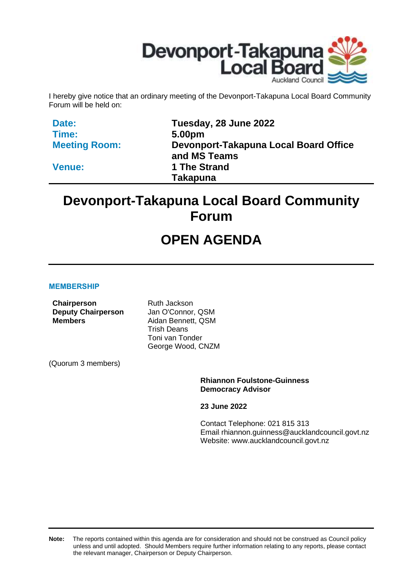

I hereby give notice that an ordinary meeting of the Devonport-Takapuna Local Board Community Forum will be held on:

| Date:                | Tuesday, 28 June 2022                 |
|----------------------|---------------------------------------|
| Time:                | 5.00pm                                |
| <b>Meeting Room:</b> | Devonport-Takapuna Local Board Office |
|                      | and MS Teams                          |
| <b>Venue:</b>        | 1 The Strand                          |
|                      | <b>Takapuna</b>                       |

# **Devonport-Takapuna Local Board Community Forum**

# **OPEN AGENDA**

### **MEMBERSHIP**

**Chairperson** Ruth Jackson **Deputy Chairperson** Jan O'Connor, QSM **Members** Aidan Bennett, QSM

Trish Deans Toni van Tonder George Wood, CNZM

(Quorum 3 members)

**Rhiannon Foulstone-Guinness Democracy Advisor**

**23 June 2022**

Contact Telephone: 021 815 313 Email: rhiannon.guinness@aucklandcouncil.govt.nz Website: www.aucklandcouncil.govt.nz

**Note:** The reports contained within this agenda are for consideration and should not be construed as Council policy unless and until adopted. Should Members require further information relating to any reports, please contact the relevant manager, Chairperson or Deputy Chairperson.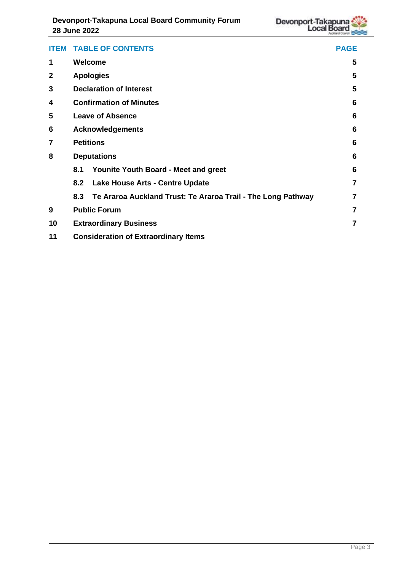| <b>ITEM</b>  | <b>TABLE OF CONTENTS</b>                        |                                                              |                |
|--------------|-------------------------------------------------|--------------------------------------------------------------|----------------|
| 1            | Welcome                                         |                                                              | 5              |
| $\mathbf{2}$ | <b>Apologies</b>                                |                                                              |                |
| 3            | <b>Declaration of Interest</b>                  |                                                              |                |
| 4            | <b>Confirmation of Minutes</b>                  |                                                              |                |
| 5            | <b>Leave of Absence</b>                         |                                                              | 6              |
| 6            | <b>Acknowledgements</b>                         |                                                              | 6              |
| 7            | <b>Petitions</b>                                |                                                              |                |
| 8            | <b>Deputations</b>                              |                                                              | 6              |
|              | 8.1                                             | <b>Younite Youth Board - Meet and greet</b>                  | 6              |
|              | 8.2                                             | <b>Lake House Arts - Centre Update</b>                       | $\overline{7}$ |
|              | 8.3                                             | Te Araroa Auckland Trust: Te Araroa Trail - The Long Pathway | $\overline{7}$ |
| 9            | <b>Public Forum</b>                             |                                                              | 7              |
| 10           | $\overline{7}$<br><b>Extraordinary Business</b> |                                                              |                |
| 11           | <b>Consideration of Extraordinary Items</b>     |                                                              |                |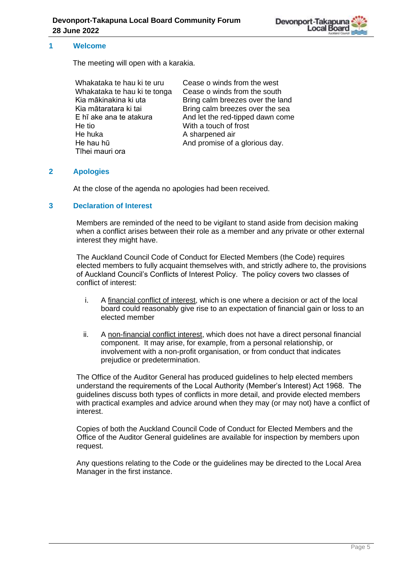

### <span id="page-4-0"></span>**1 Welcome**

The meeting will open with a karakia.

| Cease o winds from the west      |
|----------------------------------|
| Cease o winds from the south     |
| Bring calm breezes over the land |
| Bring calm breezes over the sea  |
| And let the red-tipped dawn come |
| With a touch of frost            |
| A sharpened air                  |
| And promise of a glorious day.   |
|                                  |
|                                  |

### <span id="page-4-1"></span>**2 Apologies**

At the close of the agenda no apologies had been received.

### <span id="page-4-2"></span>**3 Declaration of Interest**

Members are reminded of the need to be vigilant to stand aside from decision making when a conflict arises between their role as a member and any private or other external interest they might have.

The Auckland Council Code of Conduct for Elected Members (the Code) requires elected members to fully acquaint themselves with, and strictly adhere to, the provisions of Auckland Council's Conflicts of Interest Policy. The policy covers two classes of conflict of interest:

- i. A financial conflict of interest, which is one where a decision or act of the local board could reasonably give rise to an expectation of financial gain or loss to an elected member
- ii. A non-financial conflict interest, which does not have a direct personal financial component. It may arise, for example, from a personal relationship, or involvement with a non-profit organisation, or from conduct that indicates prejudice or predetermination.

The Office of the Auditor General has produced guidelines to help elected members understand the requirements of the Local Authority (Member's Interest) Act 1968. The guidelines discuss both types of conflicts in more detail, and provide elected members with practical examples and advice around when they may (or may not) have a conflict of interest.

Copies of both the Auckland Council Code of Conduct for Elected Members and the Office of the Auditor General guidelines are available for inspection by members upon request.

Any questions relating to the Code or the guidelines may be directed to the Local Area Manager in the first instance.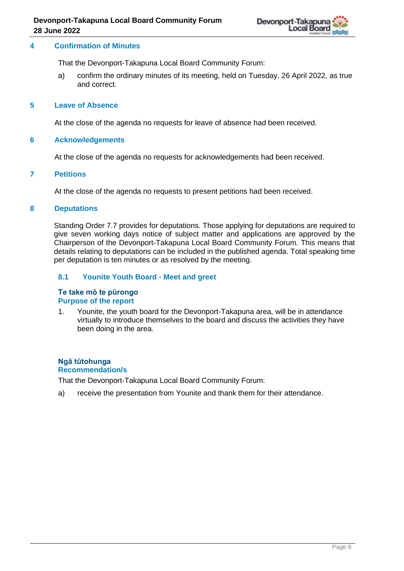

### <span id="page-5-0"></span>**4 Confirmation of Minutes**

That the Devonport-Takapuna Local Board Community Forum:

a) confirm the ordinary minutes of its meeting, held on Tuesday, 26 April 2022, as true and correct.

### <span id="page-5-1"></span>**5 Leave of Absence**

At the close of the agenda no requests for leave of absence had been received.

### <span id="page-5-2"></span>**6 Acknowledgements**

At the close of the agenda no requests for acknowledgements had been received.

### <span id="page-5-3"></span>**7 Petitions**

At the close of the agenda no requests to present petitions had been received.

### <span id="page-5-4"></span>**8 Deputations**

Standing Order 7.7 provides for deputations. Those applying for deputations are required to give seven working days notice of subject matter and applications are approved by the Chairperson of the Devonport-Takapuna Local Board Community Forum. This means that details relating to deputations can be included in the published agenda. Total speaking time per deputation is ten minutes or as resolved by the meeting.

### <span id="page-5-5"></span>**8.1 Younite Youth Board - Meet and greet**

### **Te take mō te pūrongo Purpose of the report**

1. Younite, the youth board for the Devonport-Takapuna area, will be in attendance virtually to introduce themselves to the board and discuss the activities they have been doing in the area.

## **Ngā tūtohunga**

### **Recommendation/s**

That the Devonport-Takapuna Local Board Community Forum:

a) receive the presentation from Younite and thank them for their attendance.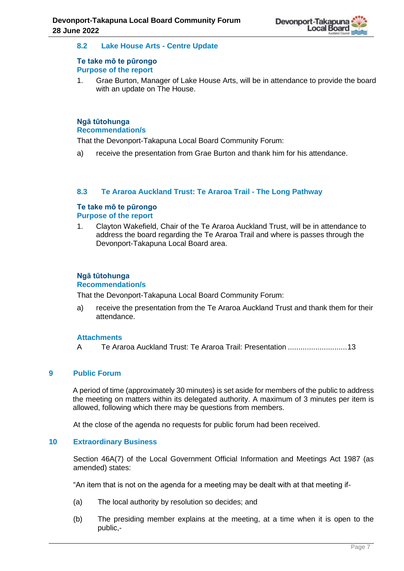

### <span id="page-6-0"></span>**8.2 Lake House Arts - Centre Update**

### **Te take mō te pūrongo Purpose of the report**

1. Grae Burton, Manager of Lake House Arts, will be in attendance to provide the board with an update on The House.

### **Ngā tūtohunga Recommendation/s**

That the Devonport-Takapuna Local Board Community Forum:

a) receive the presentation from Grae Burton and thank him for his attendance.

### <span id="page-6-1"></span>**8.3 Te Araroa Auckland Trust: Te Araroa Trail - The Long Pathway**

### **Te take mō te pūrongo Purpose of the report**

1. Clayton Wakefield, Chair of the Te Araroa Auckland Trust, will be in attendance to address the board regarding the Te Araroa Trail and where is passes through the Devonport-Takapuna Local Board area.

### **Ngā tūtohunga**

### **Recommendation/s**

That the Devonport-Takapuna Local Board Community Forum:

a) receive the presentation from the Te Araroa Auckland Trust and thank them for their attendance.

### **Attachments**

A Te Araroa Auckland Trust: Te Araroa Trail: Presentation ...........................[.13](#page-12-0)

### <span id="page-6-2"></span>**9 Public Forum**

A period of time (approximately 30 minutes) is set aside for members of the public to address the meeting on matters within its delegated authority. A maximum of 3 minutes per item is allowed, following which there may be questions from members.

At the close of the agenda no requests for public forum had been received.

### <span id="page-6-3"></span>**10 Extraordinary Business**

Section 46A(7) of the Local Government Official Information and Meetings Act 1987 (as amended) states:

"An item that is not on the agenda for a meeting may be dealt with at that meeting if-

- (a) The local authority by resolution so decides; and
- (b) The presiding member explains at the meeting, at a time when it is open to the public,-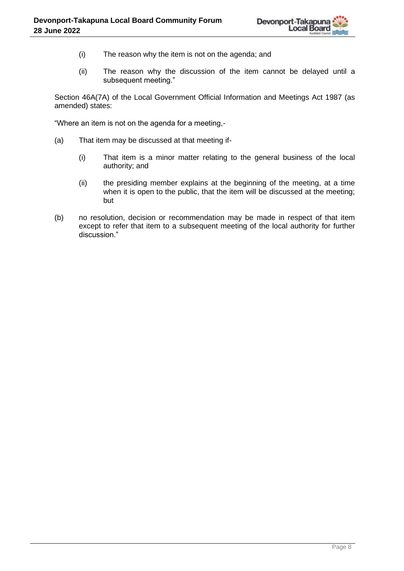- (i) The reason why the item is not on the agenda; and
- (ii) The reason why the discussion of the item cannot be delayed until a subsequent meeting."

Section 46A(7A) of the Local Government Official Information and Meetings Act 1987 (as amended) states:

"Where an item is not on the agenda for a meeting,-

- (a) That item may be discussed at that meeting if-
	- (i) That item is a minor matter relating to the general business of the local authority; and
	- (ii) the presiding member explains at the beginning of the meeting, at a time when it is open to the public, that the item will be discussed at the meeting; but
- (b) no resolution, decision or recommendation may be made in respect of that item except to refer that item to a subsequent meeting of the local authority for further discussion."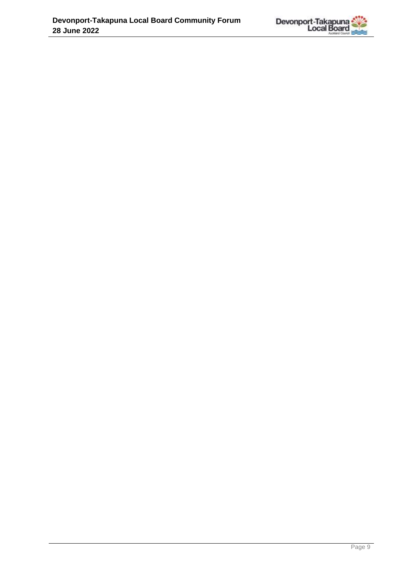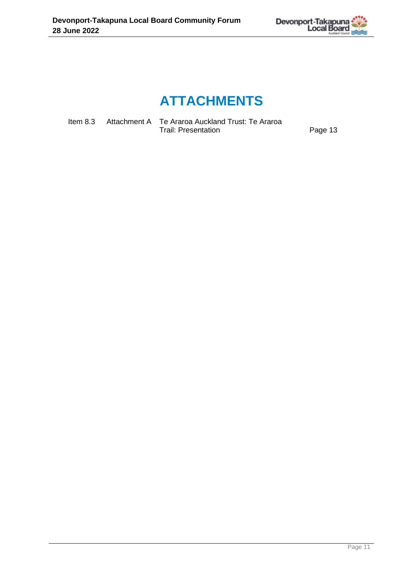

Page [13](#page-12-1)

# **ATTACHMENTS**

| ltem 8.3 | Attachment A Te Araroa Auckland Trust: Te Araroa |
|----------|--------------------------------------------------|
|          | <b>Trail: Presentation</b>                       |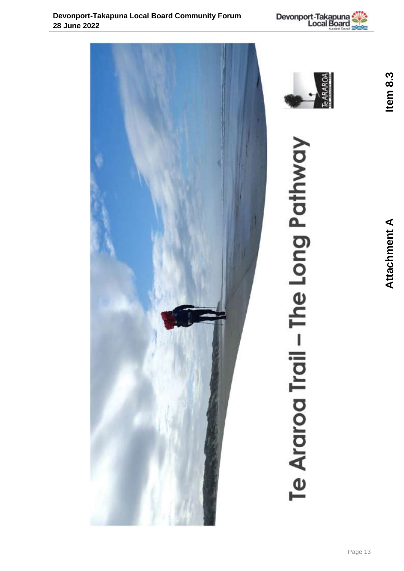<span id="page-12-1"></span><span id="page-12-0"></span>



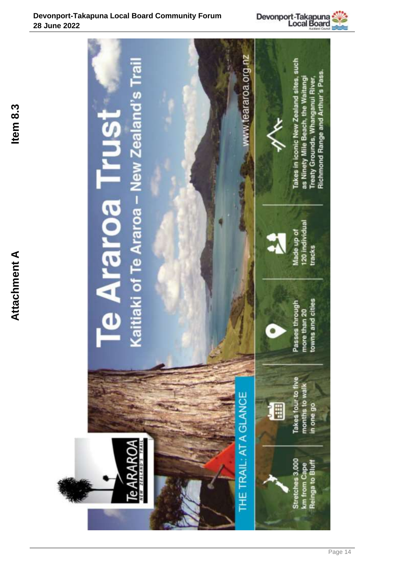

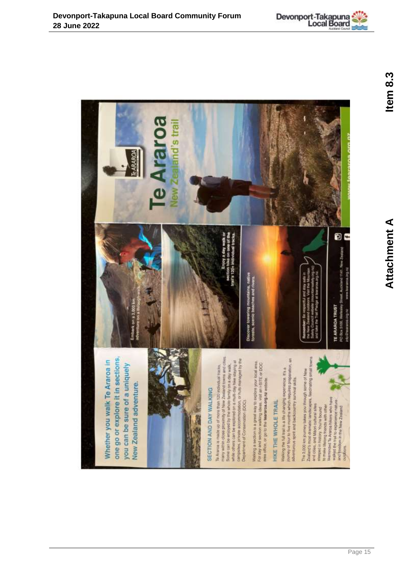

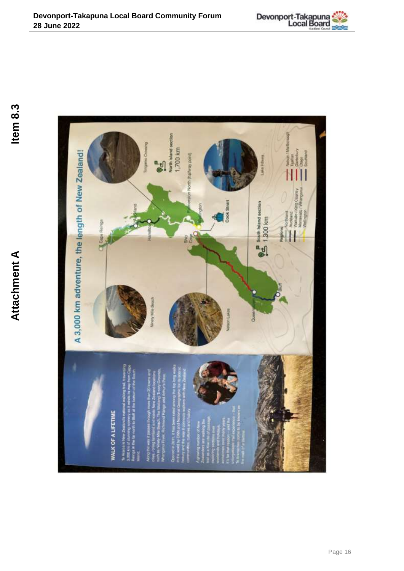



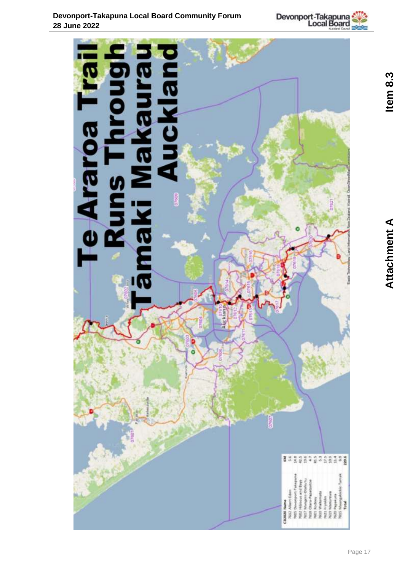

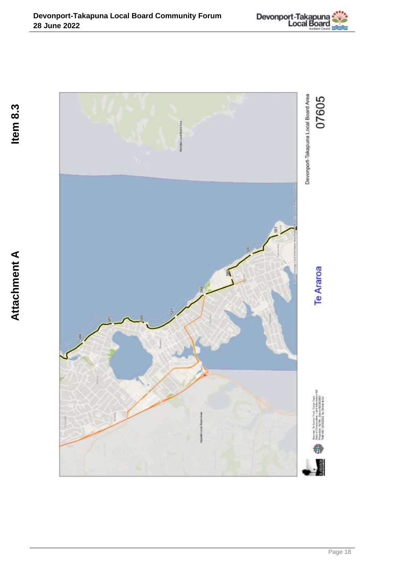

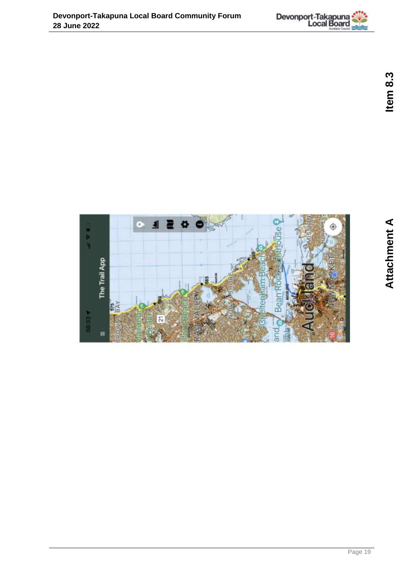

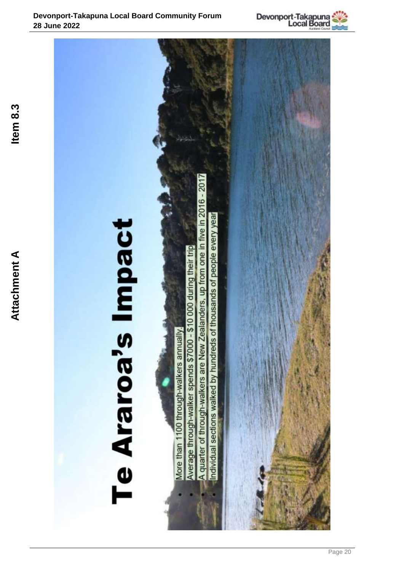

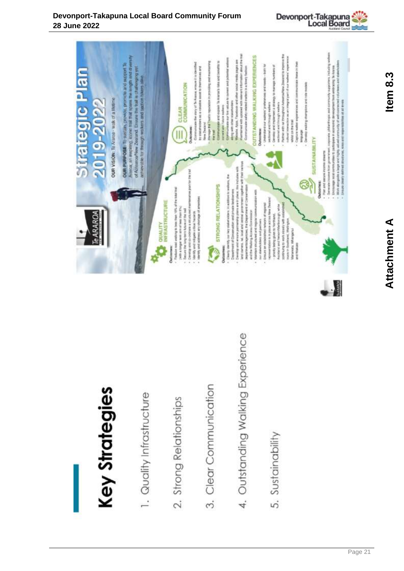# **Key Strategies**

- 1. Quality Infrastructure
- 2. Strong Relationships
- Clear Communication 3.
- Outstanding Walking Experience  $\overline{4}$
- 5. Sustainability

# **Devonport-Takapuna Local Board Community Forum 28 June 2022**